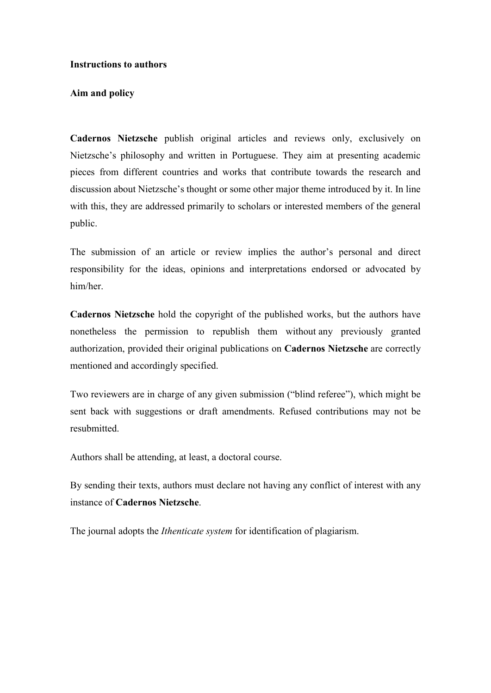#### **Instructions to authors**

#### **Aim and policy**

**Cadernos Nietzsche** publish original articles and reviews only, exclusively on Nietzsche's philosophy and written in Portuguese. They aim at presenting academic pieces from different countries and works that contribute towards the research and discussion about Nietzsche's thought or some other major theme introduced by it. In line with this, they are addressed primarily to scholars or interested members of the general public.

The submission of an article or review implies the author's personal and direct responsibility for the ideas, opinions and interpretations endorsed or advocated by him/her.

**Cadernos Nietzsche** hold the copyright of the published works, but the authors have nonetheless the permission to republish them without any previously granted authorization, provided their original publications on **Cadernos Nietzsche** are correctly mentioned and accordingly specified.

Two reviewers are in charge of any given submission ("blind referee"), which might be sent back with suggestions or draft amendments. Refused contributions may not be resubmitted.

Authors shall be attending, at least, a doctoral course.

By sending their texts, authors must declare not having any conflict of interest with any instance of **Cadernos Nietzsche**.

The journal adopts the *Ithenticate system* for identification of plagiarism.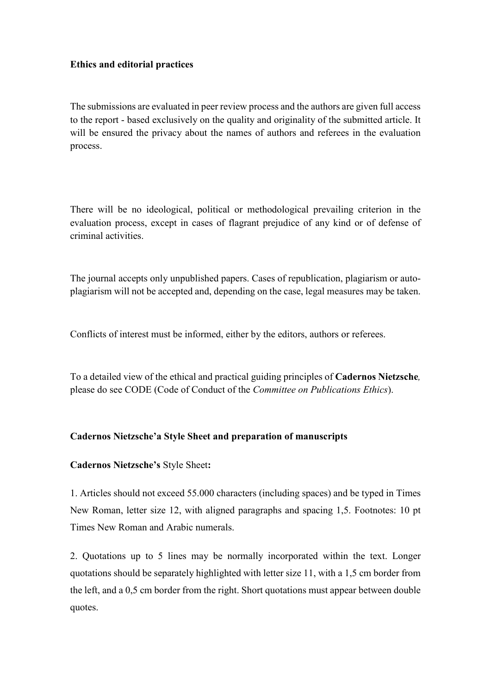### **Ethics and editorial practices**

The submissions are evaluated in peer review process and the authors are given full access to the report - based exclusively on the quality and originality of the submitted article. It will be ensured the privacy about the names of authors and referees in the evaluation process.

There will be no ideological, political or methodological prevailing criterion in the evaluation process, except in cases of flagrant prejudice of any kind or of defense of criminal activities.

The journal accepts only unpublished papers. Cases of republication, plagiarism or autoplagiarism will not be accepted and, depending on the case, legal measures may be taken.

Conflicts of interest must be informed, either by the editors, authors or referees.

To a detailed view of the ethical and practical guiding principles of **Cadernos Nietzsche***,* please do see CODE (Code of Conduct of the *Committee on Publications Ethics*).

# **Cadernos Nietzsche'a Style Sheet and preparation of manuscripts**

### **Cadernos Nietzsche's** Style Sheet**:**

1. Articles should not exceed 55.000 characters (including spaces) and be typed in Times New Roman, letter size 12, with aligned paragraphs and spacing 1,5. Footnotes: 10 pt Times New Roman and Arabic numerals.

2. Quotations up to 5 lines may be normally incorporated within the text. Longer quotations should be separately highlighted with letter size 11, with a 1,5 cm border from the left, and a 0,5 cm border from the right. Short quotations must appear between double quotes.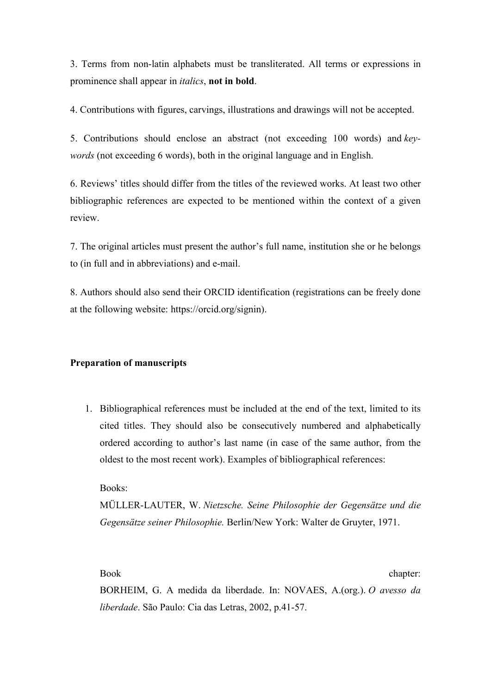3. Terms from non-latin alphabets must be transliterated. All terms or expressions in prominence shall appear in *italics*, **not in bold**.

4. Contributions with figures, carvings, illustrations and drawings will not be accepted.

5. Contributions should enclose an abstract (not exceeding 100 words) and *keywords* (not exceeding 6 words), both in the original language and in English.

6. Reviews' titles should differ from the titles of the reviewed works. At least two other bibliographic references are expected to be mentioned within the context of a given review.

7. The original articles must present the author's full name, institution she or he belongs to (in full and in abbreviations) and e-mail.

8. Authors should also send their ORCID identification (registrations can be freely done at the following website: https://orcid.org/signin).

### **Preparation of manuscripts**

1. Bibliographical references must be included at the end of the text, limited to its cited titles. They should also be consecutively numbered and alphabetically ordered according to author's last name (in case of the same author, from the oldest to the most recent work). Examples of bibliographical references:

Books:

MÜLLER-LAUTER, W. *Nietzsche. Seine Philosophie der Gegensätze und die Gegensätze seiner Philosophie.* Berlin/New York: Walter de Gruyter, 1971.

Book chapter:

BORHEIM, G. A medida da liberdade. In: NOVAES, A.(org.). *O avesso da liberdade*. São Paulo: Cia das Letras, 2002, p.41-57.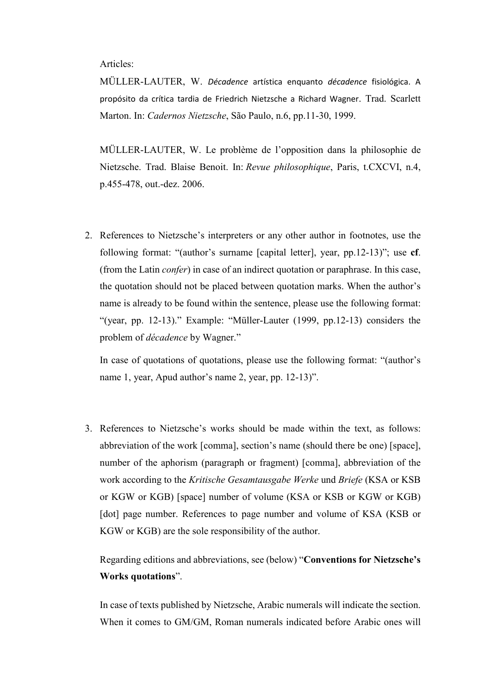Articles:

MÜLLER-LAUTER, W. *Décadence* artística enquanto *décadence* fisiológica. A propósito da crítica tardia de Friedrich Nietzsche a Richard Wagner. Trad. Scarlett Marton. In: *Cadernos Nietzsche*, São Paulo, n.6, pp.11-30, 1999.

MÜLLER-LAUTER, W. Le problème de l'opposition dans la philosophie de Nietzsche. Trad. Blaise Benoit. In: *Revue philosophique*, Paris, t.CXCVI, n.4, p.455-478, out.-dez. 2006.

2. References to Nietzsche's interpreters or any other author in footnotes, use the following format: "(author's surname [capital letter], year, pp.12-13)"; use **cf**. (from the Latin *confer*) in case of an indirect quotation or paraphrase. In this case, the quotation should not be placed between quotation marks. When the author's name is already to be found within the sentence, please use the following format: "(year, pp. 12-13)." Example: "Müller-Lauter (1999, pp.12-13) considers the problem of *décadence* by Wagner."

In case of quotations of quotations, please use the following format: "(author's name 1, year, Apud author's name 2, year, pp. 12-13)".

3. References to Nietzsche's works should be made within the text, as follows: abbreviation of the work [comma], section's name (should there be one) [space], number of the aphorism (paragraph or fragment) [comma], abbreviation of the work according to the *Kritische Gesamtausgabe Werke* und *Briefe* (KSA or KSB or KGW or KGB) [space] number of volume (KSA or KSB or KGW or KGB) [dot] page number. References to page number and volume of KSA (KSB or KGW or KGB) are the sole responsibility of the author.

Regarding editions and abbreviations, see (below) "**Conventions for Nietzsche's Works quotations**".

In case of texts published by Nietzsche, Arabic numerals will indicate the section. When it comes to GM/GM, Roman numerals indicated before Arabic ones will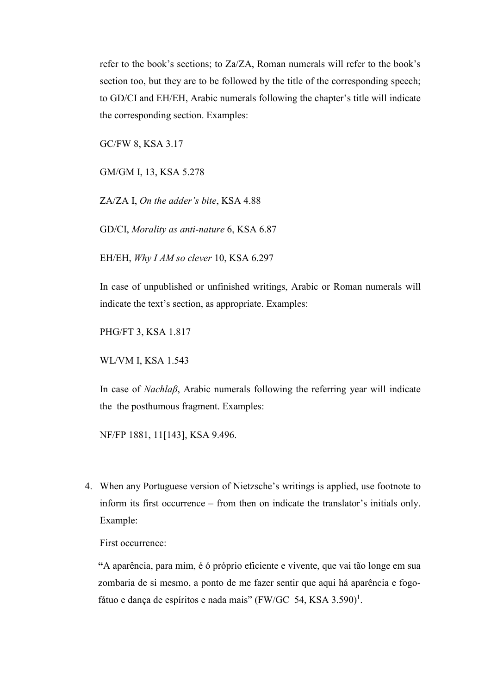refer to the book's sections; to Za/ZA, Roman numerals will refer to the book's section too, but they are to be followed by the title of the corresponding speech; to GD/CI and EH/EH, Arabic numerals following the chapter's title will indicate the corresponding section. Examples:

GC/FW 8, KSA 3.17

GM/GM I, 13, KSA 5.278

ZA/ZA I, *On the adder's bite*, KSA 4.88

GD/CI, *Morality as anti-nature* 6, KSA 6.87

EH/EH, *Why I AM so clever* 10, KSA 6.297

In case of unpublished or unfinished writings, Arabic or Roman numerals will indicate the text's section, as appropriate. Examples:

PHG/FT 3, KSA 1.817

WL/VM I, KSA 1.543

In case of *Nachlaβ*, Arabic numerals following the referring year will indicate the the posthumous fragment. Examples:

NF/FP 1881, 11[143], KSA 9.496.

4. When any Portuguese version of Nietzsche's writings is applied, use footnote to inform its first occurrence – from then on indicate the translator's initials only. Example:

First occurrence:

**"**A aparência, para mim, é ó próprio eficiente e vivente, que vai tão longe em sua zombaria de si mesmo, a ponto de me fazer sentir que aqui há aparência e fogofátuo e dança de espíritos e nada mais" (FW/GC 54, KSA 3.590)<sup>1</sup>.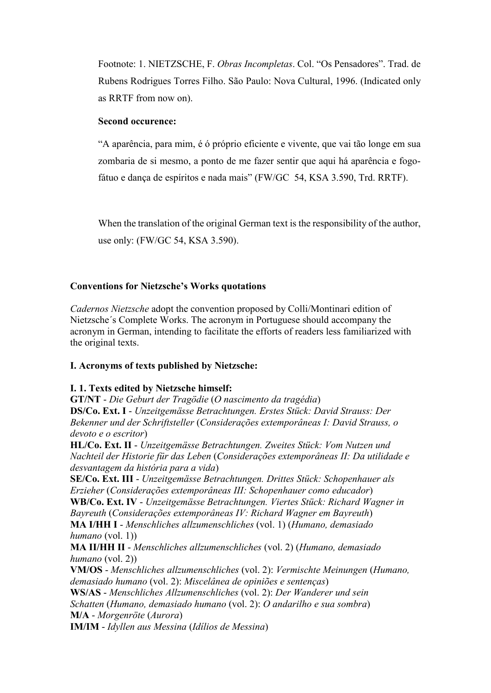Footnote: 1. NIETZSCHE, F. *Obras Incompletas*. Col. "Os Pensadores". Trad. de Rubens Rodrigues Torres Filho. São Paulo: Nova Cultural, 1996. (Indicated only as RRTF from now on).

### **Second occurence:**

"A aparência, para mim, é ó próprio eficiente e vivente, que vai tão longe em sua zombaria de si mesmo, a ponto de me fazer sentir que aqui há aparência e fogofátuo e dança de espíritos e nada mais" (FW/GC 54, KSA 3.590, Trd. RRTF).

When the translation of the original German text is the responsibility of the author, use only: (FW/GC 54, KSA 3.590).

# **Conventions for Nietzsche's Works quotations**

*Cadernos Nietzsche* adopt the convention proposed by Colli/Montinari edition of Nietzsche´s Complete Works. The acronym in Portuguese should accompany the acronym in German, intending to facilitate the efforts of readers less familiarized with the original texts.

# **I. Acronyms of texts published by Nietzsche:**

# **I. 1. Texts edited by Nietzsche himself:**

**GT/NT** - *Die Geburt der Tragödie* (*O nascimento da tragédia*) **DS/Co. Ext. I** - *Unzeitgemässe Betrachtungen. Erstes Stück: David Strauss: Der Bekenner und der Schriftsteller* (*Considerações extemporâneas I: David Strauss, o devoto e o escritor*)

**HL/Co. Ext. II** - *Unzeitgemässe Betrachtungen. Zweites Stück: Vom Nutzen und Nachteil der Historie für das Leben* (*Considerações extemporâneas II: Da utilidade e desvantagem da história para a vida*)

**SE/Co. Ext. III** - *Unzeitgemässe Betrachtungen. Drittes Stück: Schopenhauer als Erzieher* (*Considerações extemporâneas III: Schopenhauer como educador*)

**WB/Co. Ext. IV** - *Unzeitgemässe Betrachtungen. Viertes Stück: Richard Wagner in* 

*Bayreuth* (*Considerações extemporâneas IV: Richard Wagner em Bayreuth*) **MA I/HH I** - *Menschliches allzumenschliches* (vol. 1) (*Humano, demasiado humano* (vol. 1))

**MA II/HH II** - *Menschliches allzumenschliches* (vol. 2) (*Humano, demasiado humano* (vol. 2))

**VM/OS** - *Menschliches allzumenschliches* (vol. 2): *Vermischte Meinungen* (*Humano, demasiado humano* (vol. 2): *Miscelânea de opiniões e sentenças*)

**WS/AS** - *Menschliches Allzumenschliches* (vol. 2): *Der Wanderer und sein* 

*Schatten* (*Humano, demasiado humano* (vol. 2): *O andarilho e sua sombra*) **M/A** - *Morgenröte* (*Aurora*)

**IM/IM** - *Idyllen aus Messina* (*Idílios de Messina*)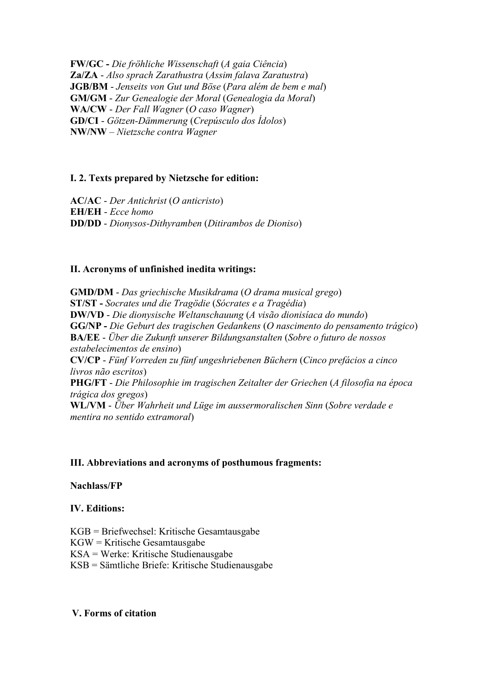**FW/GC -** *Die fröhliche Wissenschaft* (*A gaia Ciência*) **Za/ZA** - *Also sprach Zarathustra* (*Assim falava Zaratustra*) **JGB/BM** - *Jenseits von Gut und Böse* (*Para além de bem e mal*) **GM/GM** - *Zur Genealogie der Moral* (*Genealogia da Moral*) **WA/CW** - *Der Fall Wagner* (*O caso Wagner*) **GD/CI** - *Götzen-Dämmerung* (*Crepúsculo dos Ídolos*) **NW/NW** – *Nietzsche contra Wagner*

# **I. 2. Texts prepared by Nietzsche for edition:**

**AC/AC** - *Der Antichrist* (*O anticristo*) **EH/EH** - *Ecce homo* **DD/DD** - *Dionysos-Dithyramben* (*Ditirambos de Dioniso*)

### **II. Acronyms of unfinished inedita writings:**

**GMD/DM** - *Das griechische Musikdrama* (*O drama musical grego*) **ST/ST -** *Socrates und die Tragödie* (*Sócrates e a Tragédia*) **DW/VD** - *Die dionysische Weltanschauung* (*A visão dionisíaca do mundo*) **GG/NP -** *Die Geburt des tragischen Gedankens* (*O nascimento do pensamento trágico*) **BA/EE** - *Über die Zukunft unserer Bildungsanstalten* (*Sobre o futuro de nossos estabelecimentos de ensino*) **CV/CP** - *Fünf Vorreden zu fünf ungeshriebenen Büchern* (*Cinco prefácios a cinco livros não escritos*) **PHG/FT** - *Die Philosophie im tragischen Zeitalter der Griechen* (*A filosofia na época trágica dos gregos*) **WL/VM** - *Über Wahrheit und Lüge im aussermoralischen Sinn* (*Sobre verdade e mentira no sentido extramoral*)

### **III. Abbreviations and acronyms of posthumous fragments:**

### **Nachlass/FP**

### **IV. Editions:**

KGB = Briefwechsel: Kritische Gesamtausgabe

KGW = Kritische Gesamtausgabe

KSA = Werke: Kritische Studienausgabe

KSB = Sämtliche Briefe: Kritische Studienausgabe

### **V. Forms of citation**